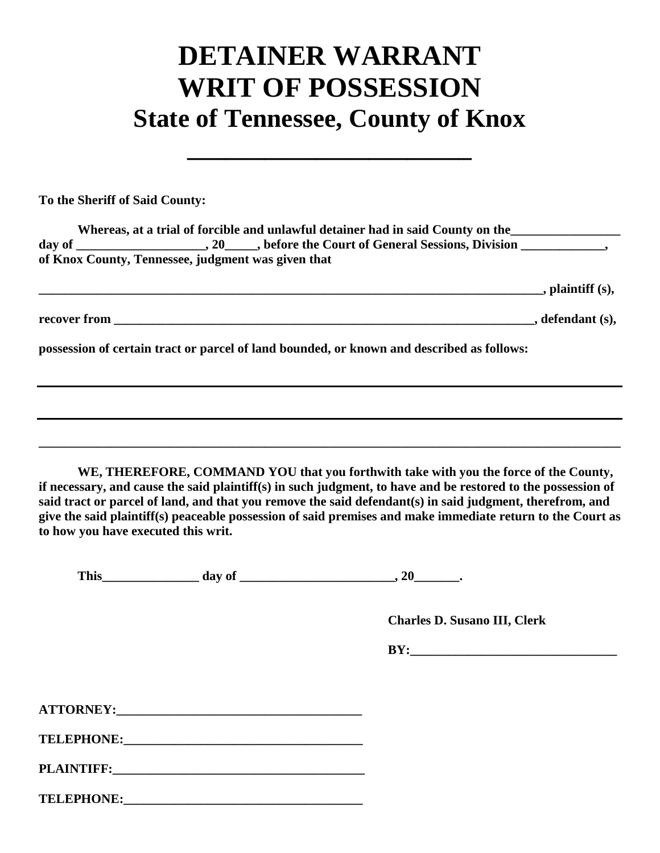## **DETAINER WARRANT WRIT OF POSSESSION State of Tennessee, County of Knox**

**\_\_\_\_\_\_\_\_\_\_\_\_\_\_\_\_\_\_\_\_\_\_**

**To the Sheriff of Said County:**

| Whereas, at a trial of forcible and unlawful detainer had in said County on the<br>of Knox County, Tennessee, judgment was given that |  |
|---------------------------------------------------------------------------------------------------------------------------------------|--|
|                                                                                                                                       |  |
|                                                                                                                                       |  |
| possession of certain tract or parcel of land bounded, or known and described as follows:                                             |  |
|                                                                                                                                       |  |
|                                                                                                                                       |  |

**WE, THEREFORE, COMMAND YOU that you forthwith take with you the force of the County, if necessary, and cause the said plaintiff(s) in such judgment, to have and be restored to the possession of said tract or parcel of land, and that you remove the said defendant(s) in said judgment, therefrom, and give the said plaintiff(s) peaceable possession of said premises and make immediate return to the Court as to how you have executed this writ.**

**\_\_\_\_\_\_\_\_\_\_\_\_\_\_\_\_\_\_\_\_\_\_\_\_\_\_\_\_\_\_\_\_\_\_\_\_\_\_\_\_\_\_\_\_\_\_\_\_\_\_\_\_\_\_\_\_\_\_\_\_\_\_\_\_\_\_\_\_\_\_\_\_\_\_\_\_\_\_\_\_\_\_\_\_\_\_\_\_\_\_**

This day of the contract of the contract of the contract of the contract of the contract of the contract of the contract of the contract of the contract of the contract of the contract of the contract of the contract of th

 **Charles D. Susano III, Clerk**

 $BY:$ 

| <b>ATTORNEY:</b> |  |
|------------------|--|
|                  |  |

**TELEPHONE:\_\_\_\_\_\_\_\_\_\_\_\_\_\_\_\_\_\_\_\_\_\_\_\_\_\_\_\_\_\_\_\_\_\_\_\_\_**

**PLAINTIFF:** 

**TELEPHONE:\_\_\_\_\_\_\_\_\_\_\_\_\_\_\_\_\_\_\_\_\_\_\_\_\_\_\_\_\_\_\_\_\_\_\_\_\_**